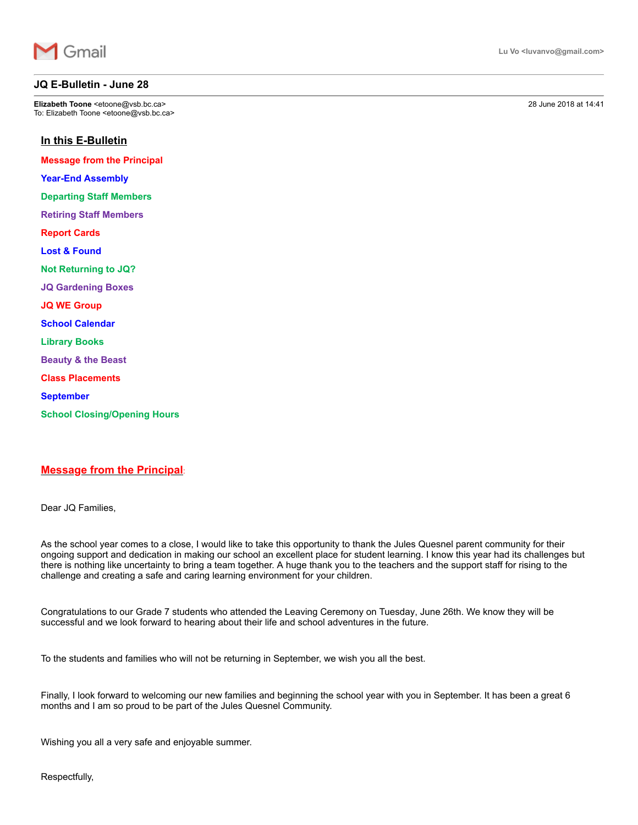

## **JQ E-Bulletin - June 28**

**Elizabeth Toone** <etoone@vsb.bc.ca> 28 June 2018 at 14:41 To: Elizabeth Toone <etoone@vsb.bc.ca>

## **In this E-Bulletin**

**Message from the Principal**

**Year-End Assembly** 

**Departing Staff Members**

**Retiring Staff Members**

**Report Cards**

**Lost & Found**

**Not Returning to JQ?**

**JQ Gardening Boxes**

**JQ WE Group**

**School Calendar**

**Library Books**

**Beauty & the Beast**

**Class Placements**

**September**

**School Closing/Opening Hours**

## **Message from the Principal**:

Dear JQ Families,

As the school year comes to a close, I would like to take this opportunity to thank the Jules Quesnel parent community for their ongoing support and dedication in making our school an excellent place for student learning. I know this year had its challenges but there is nothing like uncertainty to bring a team together. A huge thank you to the teachers and the support staff for rising to the challenge and creating a safe and caring learning environment for your children.

Congratulations to our Grade 7 students who attended the Leaving Ceremony on Tuesday, June 26th. We know they will be successful and we look forward to hearing about their life and school adventures in the future.

To the students and families who will not be returning in September, we wish you all the best.

Finally, I look forward to welcoming our new families and beginning the school year with you in September. It has been a great 6 months and I am so proud to be part of the Jules Quesnel Community.

Wishing you all a very safe and enjoyable summer.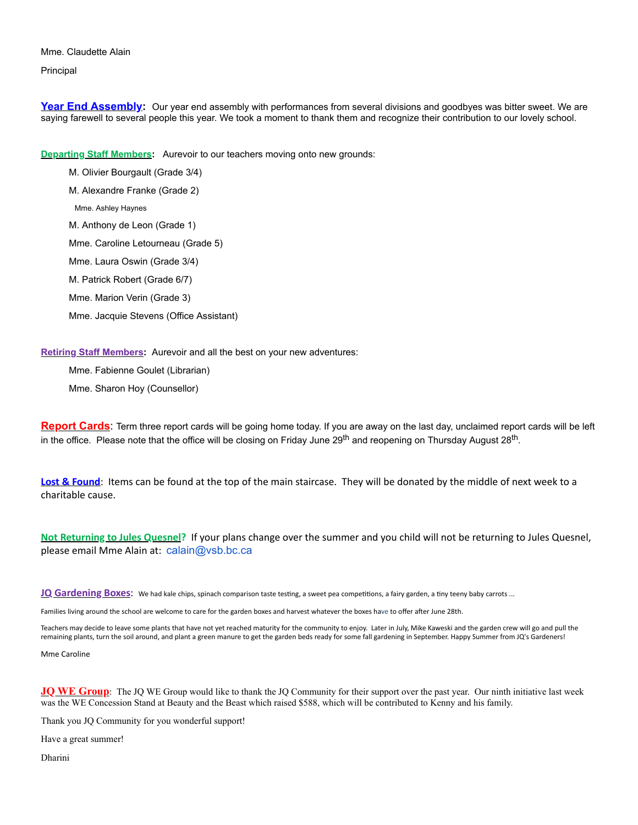Mme. Claudette Alain Principal

**Year End Assembly:** Our year end assembly with performances from several divisions and goodbyes was bitter sweet. We are saying farewell to several people this year. We took a moment to thank them and recognize their contribution to our lovely school.

**Departing Staff Members:** Aurevoir to our teachers moving onto new grounds:

M. Olivier Bourgault (Grade 3/4) M. Alexandre Franke (Grade 2) Mme. Ashley Haynes

M. Anthony de Leon (Grade 1)

Mme. Caroline Letourneau (Grade 5)

Mme. Laura Oswin (Grade 3/4)

M. Patrick Robert (Grade 6/7)

Mme. Marion Verin (Grade 3)

Mme. Jacquie Stevens (Office Assistant)

**Retiring Staff Members:** Aurevoir and all the best on your new adventures:

Mme. Fabienne Goulet (Librarian)

Mme. Sharon Hoy (Counsellor)

**Report Cards**: Term three report cards will be going home today. If you are away on the last day, unclaimed report cards will be left in the office. Please note that the office will be closing on Friday June 29<sup>th</sup> and reopening on Thursday August 28<sup>th</sup>.

**Lost & Found**: Items can be found at the top of the main staircase. They will be donated by the middle of next week to a charitable cause.

**Not Returning to Jules Quesnel?** If your plans change over the summer and you child will not be returning to Jules Quesnel, please email Mme Alain at: [calain@vsb.bc.ca](mailto:calain@vsb.bc.ca)

**JQ** Gardening Boxes: We had kale chips, spinach comparison taste testing, a sweet pea competitions, a fairy garden, a tiny teeny baby carrots ...

Families living around the school are welcome to care for the garden boxes and harvest whatever the boxes have to offer after June 28th.

Teachers may decide to leave some plants that have not yet reached maturity for the community to enjoy. Later in July, Mike Kaweski and the garden crew will go and pull the remaining plants, turn the soil around, and plant a green manure to get the garden beds ready for some fall gardening in September. Happy Summer from JQ's Gardeners!

Mme Caroline

**JQ WE Group**: The JQ WE Group would like to thank the JQ Community for their support over the past year. Our ninth initiative last week was the WE Concession Stand at Beauty and the Beast which raised \$588, which will be contributed to Kenny and his family.

Thank you JQ Community for you wonderful support!

Have a great summer!

Dharini